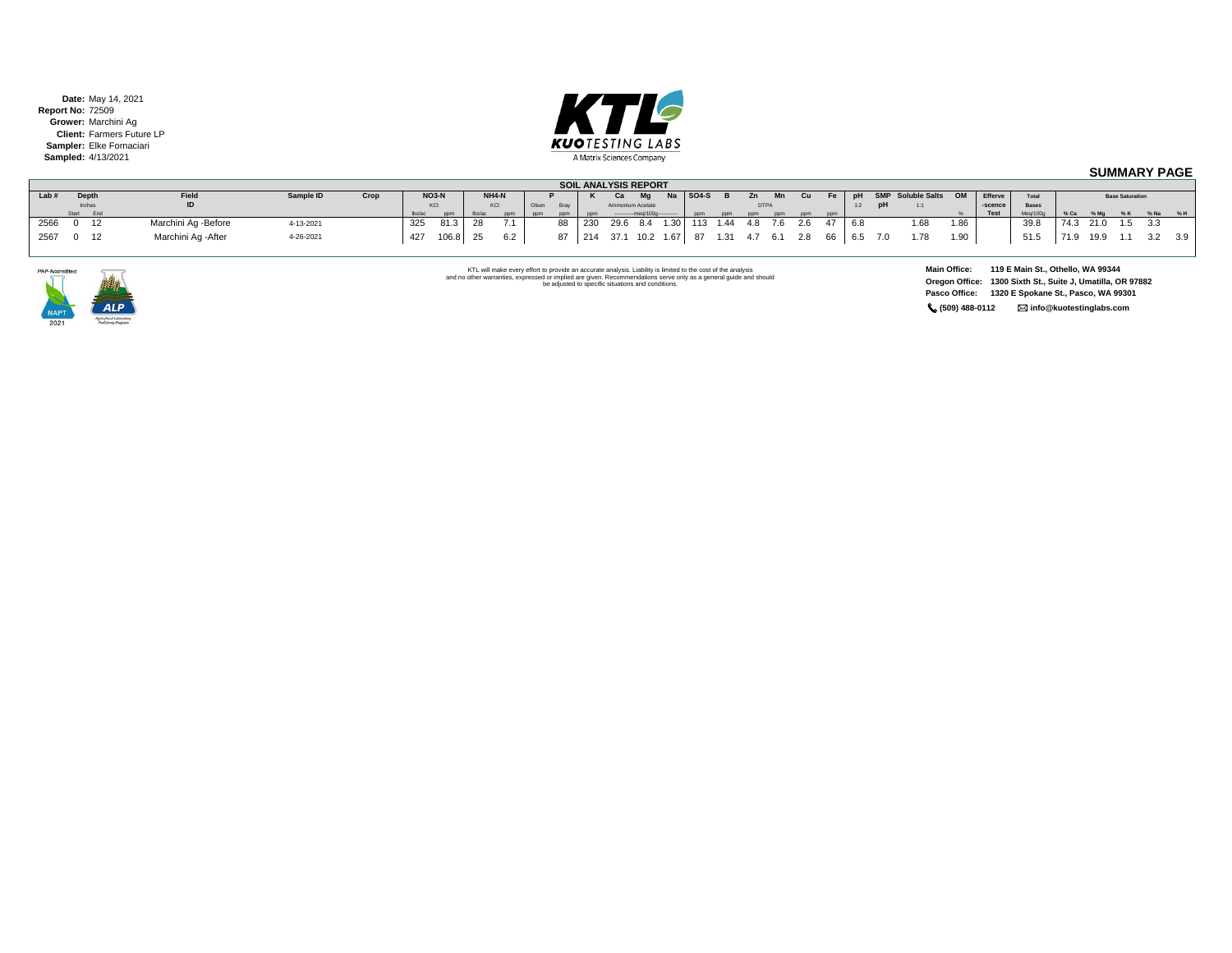**Date:** May 14, 2021 **Report No:** 72509 **Grower:** Marchini Ag **Client:** Farmers Future LP **Sampler:** Elke Fornaciari **Sampled:** 4/13/2021



## **SUMMARY PAGE**

|       | <b>SOIL ANALYSIS REPORT</b> |              |  |                     |           |      |                            |              |  |       |       |      |     |          |                  |      |           |          |             |     |     |     |         |    |                          |      |             |          |           |                        |     |        |
|-------|-----------------------------|--------------|--|---------------------|-----------|------|----------------------------|--------------|--|-------|-------|------|-----|----------|------------------|------|-----------|----------|-------------|-----|-----|-----|---------|----|--------------------------|------|-------------|----------|-----------|------------------------|-----|--------|
| Lab # |                             | Depth        |  | Field               | Sample ID | Crop |                            | <b>NO3-N</b> |  | NH4-N |       |      |     | Ca       | $M\sigma$        |      | $ $ SO4-S |          |             | Mn  | Cu  |     | Fe   pH |    | <b>SMP</b> Soluble Salts | OM   | Efferve     | Total    |           | <b>Base Saturation</b> |     |        |
|       |                             | Inches       |  | ID                  |           |      |                            |              |  | KCI   | Olsen | Brav |     |          | Ammonium Acetate |      |           |          | <b>DTPA</b> |     |     |     |         | рH | 1:1                      |      | -scence     | Bases    |           |                        |     |        |
|       |                             | Start End    |  |                     |           |      | $\mathsf{Ibs}/\mathsf{ac}$ |              |  | nnm   | ppm   |      |     |          |                  |      |           | nnm.     |             | nnm | nnm | ppm |         |    |                          |      | <b>Test</b> | Meg/100g |           |                        |     | %Na %H |
| 2566  |                             | $0 \quad 12$ |  | Marchini Ag -Before | 4-13-2021 |      | 325                        | 81.3         |  |       |       | 88   | 230 | 29.6 8.4 |                  | 1.30 |           | 113 1.44 | 4.8 7.6 2.6 |     |     |     | 6.8     |    | 1.68                     | 1.86 |             | 39.8     | 74.3 21.0 | $1.5$ $3.3$            |     |        |
| 2567  |                             | 12           |  | Marchini Ag - After | 4-26-2021 |      | 427                        | 106.8        |  |       |       | 87   | 214 | 37.1     | 10.2             | 1.67 |           | 1.31     |             |     | 2.8 |     | 6.5     | 70 | 1.78                     | 1.90 |             | 51.5     | 19.9      |                        | 3.2 | 3.9    |



KTL will make every effort to provide an accurate analysis. Liability is limited to the cost of the analysis<br>and no other warranties, expressed or implied are given. Recommendations serve only as a general guide and should

**Main Office: 119 E Main St., Othello, WA 99344 Oregon Office: 1300 Sixth St., Suite J, Umatilla, OR 97882 Pasco Office: 1320 E Spokane St., Pasco, WA 99301 (509) 488-0112 info@kuotestinglabs.com**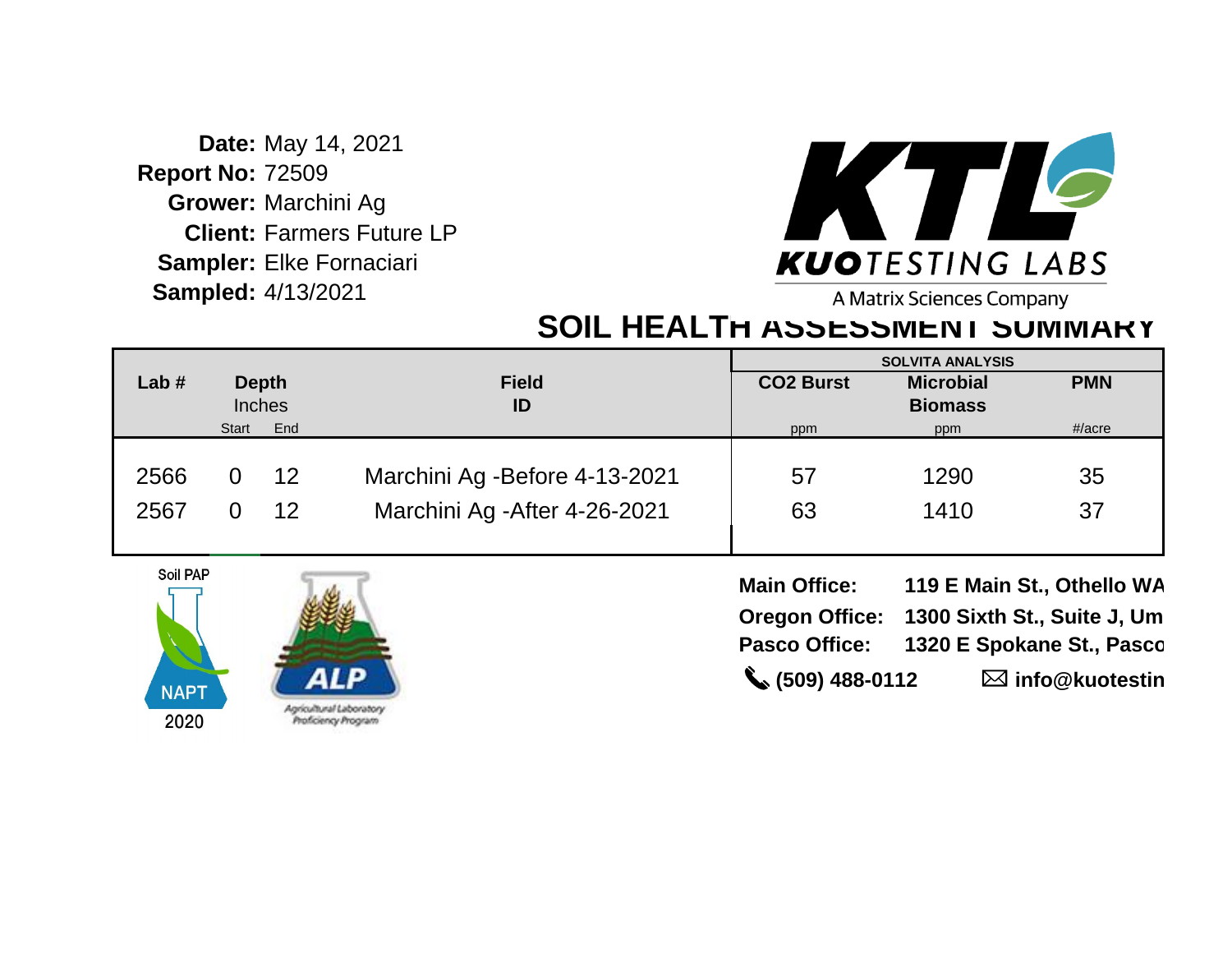**Date:** May 14, 2021 **Report No:** 72509 **Grower:** Marchini Ag **Client:** Farmers Future LP **Sampler:** Elke Fornaciari **Sampled:** 4/13/2021



A Matrix Sciences Company

## **SOIL HEALTH ASSESSMENT SUMMARY**

|         |       |               |                                |                  | <b>SOLVITA ANALYSIS</b> |            |
|---------|-------|---------------|--------------------------------|------------------|-------------------------|------------|
| Lab $#$ |       | <b>Depth</b>  | <b>Field</b>                   | <b>CO2 Burst</b> | <b>Microbial</b>        | <b>PMN</b> |
|         |       | <b>Inches</b> | ID                             |                  | <b>Biomass</b>          |            |
|         | Start | End           |                                | ppm              | ppm                     | $\#/acre$  |
|         |       |               |                                |                  |                         |            |
| 2566    |       | 12            | Marchini Ag - Before 4-13-2021 | 57               | 1290                    | 35         |
| 2567    |       | 12            | Marchini Ag - After 4-26-2021  | 63               | 1410                    | 37         |



| <b>Main Office:</b>           | 119 E Main St., Othello WA                 |
|-------------------------------|--------------------------------------------|
|                               | Oregon Office: 1300 Sixth St., Suite J, Um |
|                               | Pasco Office: 1320 E Spokane St., Pasco    |
| $\binom{1}{2}$ (509) 488-0112 | $\boxtimes$ info@kuotestin                 |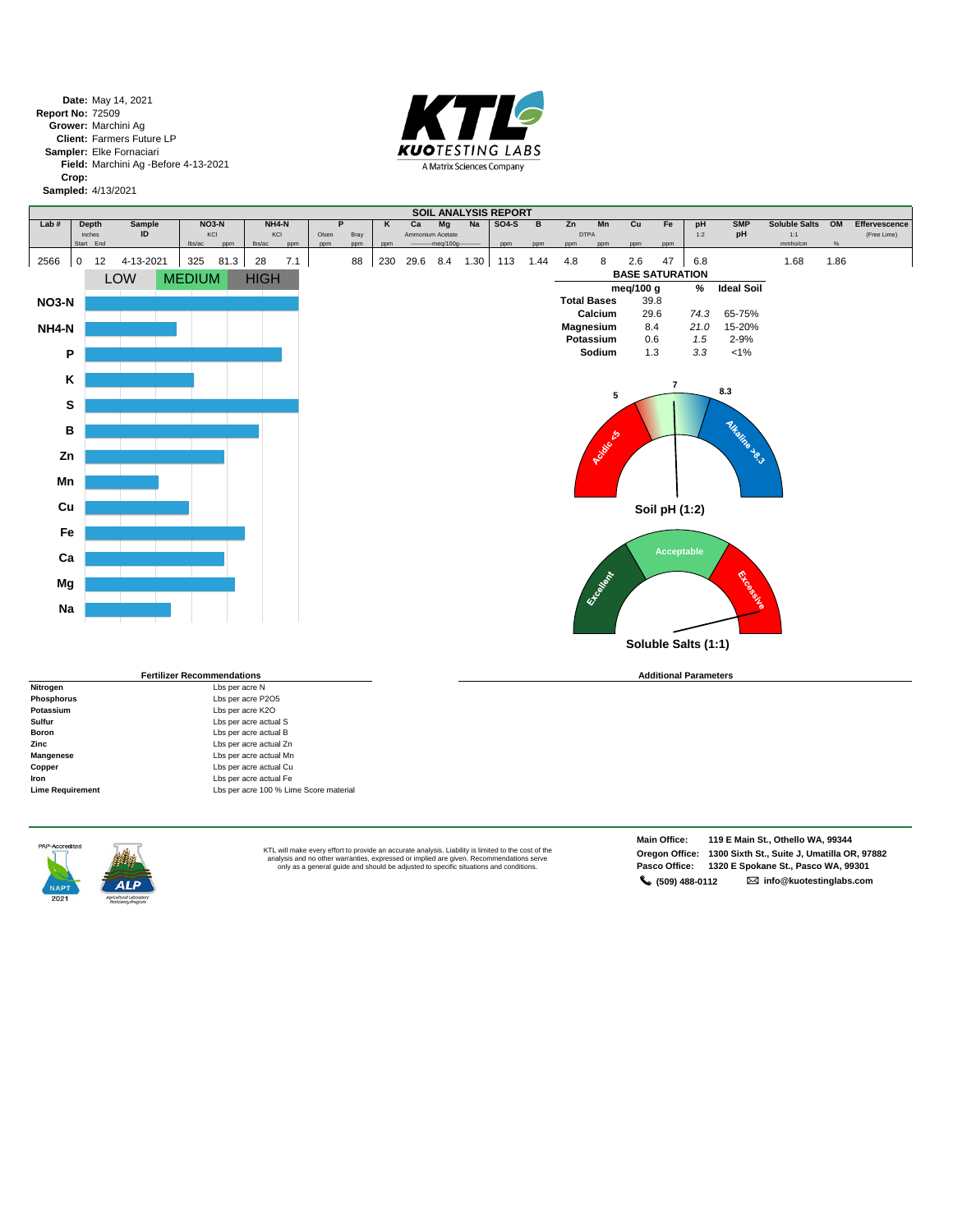**Date:** May 14, 2021 **Report No: Grower:** Marchini Ag **Client:** Farmers Future LP **Sampler:** Elke Fornaciari **Field:** Marchini Ag -Before 4-13-2021 **Crop: Sampled:** 4/13/2021 72509



|              |                     |                 |                                   |             |                 |            |       |           |            |      |                                |      | SOIL ANALYSIS REPORT |             |            |                    |            |                                     |      |                   |                      |      |               |
|--------------|---------------------|-----------------|-----------------------------------|-------------|-----------------|------------|-------|-----------|------------|------|--------------------------------|------|----------------------|-------------|------------|--------------------|------------|-------------------------------------|------|-------------------|----------------------|------|---------------|
| Lab#         | <b>Depth</b>        | Sample          | NO3-N                             |             |                 | NH4-N      |       | P         | Κ          | Ca   | Mg                             | Na   | <b>SO4-S</b>         | B           | Zn         | Mn                 | Cu         | Fe                                  | pH   | <b>SMP</b>        | <b>Soluble Salts</b> | OM   | Effervescence |
|              | inches<br>Start End | ID              | KCI                               |             | lbs/ac          | KCI        | Olsen | Bray      |            |      | Ammonium Acetate<br>-meg/100g- |      |                      |             |            | <b>DTPA</b>        |            |                                     | 1:2  | pH                | 1:1<br>mmho/cm       | %    | (Free Lime)   |
| 2566         | $\mathbf 0$         | 4-13-2021<br>12 | lbs/ac<br>325                     | ppm<br>81.3 | 28              | ppm<br>7.1 | ppm   | ppm<br>88 | ppm<br>230 | 29.6 | 8.4                            | 1.30 | ppm<br>113           | ppm<br>1.44 | ppm<br>4.8 | ppm<br>8           | ppm<br>2.6 | ppm<br>47<br><b>BASE SATURATION</b> | 6.8  |                   | 1.68                 | 1.86 |               |
|              |                     | LOW             | <b>MEDIUM</b>                     |             | <b>HIGH</b>     |            |       |           |            |      |                                |      |                      |             |            |                    | meg/100 g  |                                     | %    | <b>Ideal Soil</b> |                      |      |               |
| <b>NO3-N</b> |                     |                 |                                   |             |                 |            |       |           |            |      |                                |      |                      |             |            | <b>Total Bases</b> |            | 39.8                                |      |                   |                      |      |               |
|              |                     |                 |                                   |             |                 |            |       |           |            |      |                                |      |                      |             |            | Calcium            |            | 29.6                                | 74.3 | 65-75%            |                      |      |               |
| NH4-N        |                     |                 |                                   |             |                 |            |       |           |            |      |                                |      |                      |             |            | Magnesium          | 8.4        |                                     | 21.0 | 15-20%            |                      |      |               |
|              |                     |                 |                                   |             |                 |            |       |           |            |      |                                |      |                      |             |            | Potassium          |            | 0.6                                 | 1.5  | 2-9%              |                      |      |               |
| P            |                     |                 |                                   |             |                 |            |       |           |            |      |                                |      |                      |             |            | Sodium             |            | 1.3                                 | 3.3  | $< 1\%$           |                      |      |               |
| K<br>S       |                     |                 |                                   |             |                 |            |       |           |            |      |                                |      |                      |             |            | 5                  |            | $\overline{\phantom{a}}$            |      | 8.3               |                      |      |               |
| B            |                     |                 |                                   |             |                 |            |       |           |            |      |                                |      |                      |             |            |                    |            |                                     |      |                   |                      |      |               |
| Zn<br>Mn     |                     |                 |                                   |             |                 |            |       |           |            |      |                                |      |                      |             |            | <b>CONTROL</b>     |            |                                     |      | <b>HARIAD RO</b>  |                      |      |               |
| Cu           |                     |                 |                                   |             |                 |            |       |           |            |      |                                |      |                      |             |            |                    |            | Soil pH (1:2)                       |      |                   |                      |      |               |
| Fe           |                     |                 |                                   |             |                 |            |       |           |            |      |                                |      |                      |             |            |                    |            |                                     |      |                   |                      |      |               |
| Ca           |                     |                 |                                   |             |                 |            |       |           |            |      |                                |      |                      |             |            |                    |            | Acceptable                          |      |                   |                      |      |               |
| Mg           |                     |                 |                                   |             |                 |            |       |           |            |      |                                |      |                      |             |            | Excellent          |            |                                     |      | <b>Dicement</b>   |                      |      |               |
| Na           |                     |                 |                                   |             |                 |            |       |           |            |      |                                |      |                      |             |            |                    |            |                                     |      |                   |                      |      |               |
|              |                     |                 |                                   |             |                 |            |       |           |            |      |                                |      |                      |             |            |                    |            | Soluble Salts (1:1)                 |      |                   |                      |      |               |
|              |                     |                 | <b>Fertilizer Recommendations</b> |             |                 |            |       |           |            |      |                                |      |                      |             |            |                    |            | <b>Additional Parameters</b>        |      |                   |                      |      |               |
| Nitrogen     |                     |                 |                                   |             | Lbs per acre N  |            |       |           |            |      |                                |      |                      |             |            |                    |            |                                     |      |                   |                      |      |               |
| DL.          |                     |                 |                                   |             | Listen and DOOF |            |       |           |            |      |                                |      |                      |             |            |                    |            |                                     |      |                   |                      |      |               |

|                         | <b>Fertilizer Recommendations</b>      |
|-------------------------|----------------------------------------|
| Nitrogen                | Lbs per acre N                         |
| <b>Phosphorus</b>       | Lbs per acre P2O5                      |
| Potassium               | Lbs per acre K2O                       |
| Sulfur                  | Lbs per acre actual S                  |
| <b>Boron</b>            | Lbs per acre actual B                  |
| Zinc                    | Lbs per acre actual Zn                 |
| Mangenese               | Lbs per acre actual Mn                 |
| Copper                  | Lbs per acre actual Cu                 |
| Iron                    | Lbs per acre actual Fe                 |
| <b>Lime Requirement</b> | Lbs per acre 100 % Lime Score material |
|                         |                                        |

 $ALP$ 

KTL will make every effort to provide an accurate analysis. Liability is limited to the cost of the<br>analysis and no other warranties, expressed or implied are given. Recommendations serve<br>only as a general guide and should

**Main Office: 119 E Main St., Othello WA, 99344 Oregon Office: 1300 Sixth St., Suite J, Umatilla OR, 97882 Pasco Office: 1320 E Spokane St., Pasco WA, 99301 (509) 488-0112 info@kuotestinglabs.com**